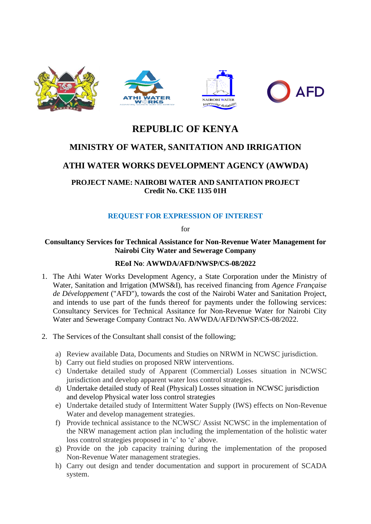

# **REPUBLIC OF KENYA**

# **MINISTRY OF WATER, SANITATION AND IRRIGATION**

# **ATHI WATER WORKS DEVELOPMENT AGENCY (AWWDA)**

## **PROJECT NAME: NAIROBI WATER AND SANITATION PROJECT Credit No. CKE 1135 01H**

## **REQUEST FOR EXPRESSION OF INTEREST**

for

#### **Consultancy Services for Technical Assistance for Non-Revenue Water Management for Nairobi City Water and Sewerage Company**

#### **REoI No**: **AWWDA/AFD/NWSP/CS-08/2022**

- 1. The Athi Water Works Development Agency, a State Corporation under the Ministry of Water, Sanitation and Irrigation (MWS&I), has received financing from *Agence Française de Développement* ("AFD"), towards the cost of the Nairobi Water and Sanitation Project, and intends to use part of the funds thereof for payments under the following services: Consultancy Services for Technical Assitance for Non-Revenue Water for Nairobi City Water and Sewerage Company Contract No. AWWDA/AFD/NWSP/CS-08/2022.
- 2. The Services of the Consultant shall consist of the following;
	- a) Review available Data, Documents and Studies on NRWM in NCWSC jurisdiction.
	- b) Carry out field studies on proposed NRW interventions.
	- c) Undertake detailed study of Apparent (Commercial) Losses situation in NCWSC jurisdiction and develop apparent water loss control strategies.
	- d) Undertake detailed study of Real (Physical) Losses situation in NCWSC jurisdiction and develop Physical water loss control strategies
	- e) Undertake detailed study of Intermittent Water Supply (IWS) effects on Non-Revenue Water and develop management strategies.
	- f) Provide technical assistance to the NCWSC/ Assist NCWSC in the implementation of the NRW management action plan including the implementation of the holistic water loss control strategies proposed in 'c' to 'e' above.
	- g) Provide on the job capacity training during the implementation of the proposed Non-Revenue Water management strategies.
	- h) Carry out design and tender documentation and support in procurement of SCADA system.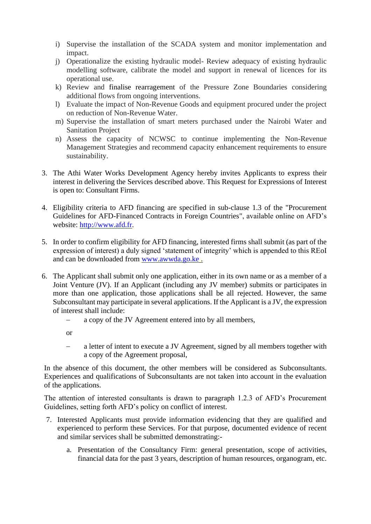- i) Supervise the installation of the SCADA system and monitor implementation and impact.
- j) Operationalize the existing hydraulic model- Review adequacy of existing hydraulic modelling software, calibrate the model and support in renewal of licences for its operational use.
- k) Review and finalise rearragement of the Pressure Zone Boundaries considering additional flows from ongoing interventions.
- l) Evaluate the impact of Non-Revenue Goods and equipment procured under the project on reduction of Non-Revenue Water.
- m) Supervise the installation of smart meters purchased under the Nairobi Water and Sanitation Project
- n) Assess the capacity of NCWSC to continue implementing the Non-Revenue Management Strategies and recommend capacity enhancement requirements to ensure sustainability.
- 3. The Athi Water Works Development Agency hereby invites Applicants to express their interest in delivering the Services described above. This Request for Expressions of Interest is open to: Consultant Firms.
- 4. Eligibility criteria to AFD financing are specified in sub-clause 1.3 of the "Procurement Guidelines for AFD-Financed Contracts in Foreign Countries", available online on AFD's website: [http://www.afd.fr.](http://www.afd.fr/)
- 5. In order to confirm eligibility for AFD financing, interested firms shall submit (as part of the expression of interest) a duly signed 'statement of integrity' which is appended to this REoI and can be downloaded from [www.awwda.go.ke](http://www.awwda.go.ke/) .
- 6. The Applicant shall submit only one application, either in its own name or as a member of a Joint Venture (JV). If an Applicant (including any JV member) submits or participates in more than one application, those applications shall be all rejected. However, the same Subconsultant may participate in several applications. If the Applicant is a JV, the expression of interest shall include:
	- a copy of the JV Agreement entered into by all members,

or

− a letter of intent to execute a JV Agreement, signed by all members together with a copy of the Agreement proposal,

In the absence of this document, the other members will be considered as Subconsultants. Experiences and qualifications of Subconsultants are not taken into account in the evaluation of the applications.

The attention of interested consultants is drawn to paragraph 1.2.3 of AFD's Procurement Guidelines, setting forth AFD's policy on conflict of interest.

- 7. Interested Applicants must provide information evidencing that they are qualified and experienced to perform these Services. For that purpose, documented evidence of recent and similar services shall be submitted demonstrating:
	- a. Presentation of the Consultancy Firm: general presentation, scope of activities, financial data for the past 3 years, description of human resources, organogram, etc.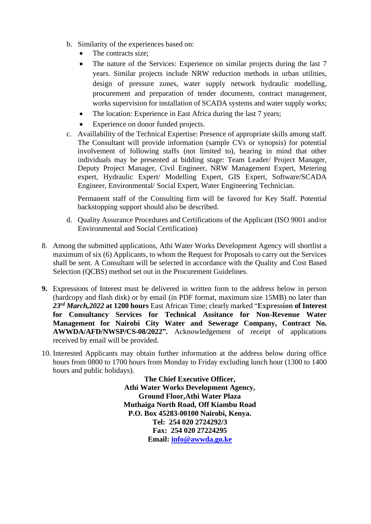- b. Similarity of the experiences based on:
	- The contracts size;
	- The nature of the Services: Experience on similar projects during the last 7 years. Similar projects include NRW reduction methods in urban utilities, design of pressure zones, water supply network hydraulic modelling, procurement and preparation of tender documents, contract management, works supervision for installation of SCADA systems and water supply works;
	- The location: Experience in East Africa during the last 7 years;
	- Experience on donor funded projects.
- c. Availlability of the Technical Expertise: Presence of appropriate skills among staff. The Consultant will provide information (sample CVs or synopsis) for potential involvement of following staffs (not limited to), bearing in mind that other individuals may be presented at bidding stage: Team Leader/ Project Manager, Deputy Project Manager, Civil Engineer, NRW Management Expert, Metering expert, Hydraulic Expert/ Modelling Expert, GIS Expert, Software/SCADA Engineer, Environmental/ Social Expert, Water Engineering Technician.

Permanent staff of the Consulting firm will be favored for Key Staff. Potential backstopping support should also be described.

- d. Quality Assurance Procedures and Certifications of the Applicant (ISO 9001 and/or Environmental and Social Certification)
- 8. Among the submitted applications, Athi Water Works Development Agency will shortlist a maximum of six (6) Applicants, to whom the Request for Proposals to carry out the Services shall be sent. A Consultant will be selected in accordance with the Quality and Cost Based Selection (OCBS) method set out in the Procurement Guidelines.
- **9.** Expressions of Interest must be delivered in written form to the address below in person (hardcopy and flash disk) or by email (in PDF format, maximum size 15MB) no later than *23rd March,2022* **at 1200 hours** East African Time; clearly marked "**Expression of Interest for Consultancy Services for Technical Assitance for Non-Revenue Water Management for Nairobi City Water and Sewerage Company, Contract No. AWWDA/AFD/NWSP/CS-08/2022".** Acknowledgement of receipt of applications received by email will be provided.
- 10. Interested Applicants may obtain further information at the address below during office hours from 0800 to 1700 hours from Monday to Friday excluding lunch hour (1300 to 1400 hours and public holidays).

**The Chief Executive Officer, Athi Water Works Development Agency, Ground Floor,Athi Water Plaza Muthaiga North Road, Off Kiambu Road P.O. Box 45283-00100 Nairobi, Kenya. Tel: 254 020 2724292/3 Fax: 254 020 27224295 Email: [info@awwda.go.ke](mailto:info@awwda.go.ke)**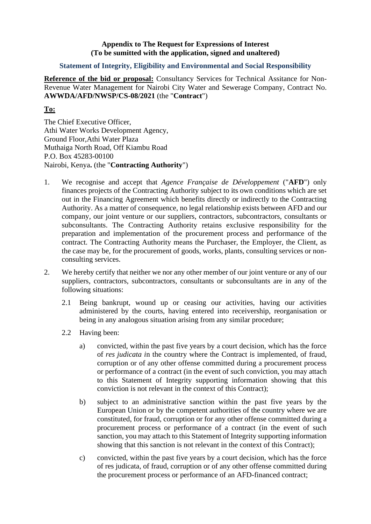#### **Appendix to The Request for Expressions of Interest (To be sumitted with the application, signed and unaltered)**

#### **Statement of Integrity, Eligibility and Environmental and Social Responsibility**

**Reference of the bid or proposal:** Consultancy Services for Technical Assitance for Non-Revenue Water Management for Nairobi City Water and Sewerage Company, Contract No. **AWWDA/AFD/NWSP/CS-08/2021** (the "**Contract**")

### **To:**

The Chief Executive Officer, Athi Water Works Development Agency, Ground Floor,Athi Water Plaza Muthaiga North Road, Off Kiambu Road P.O. Box 45283-00100 Nairobi, Kenya**.** (the "**Contracting Authority**")

- 1. We recognise and accept that *Agence Française de Développement* ("**AFD**") only finances projects of the Contracting Authority subject to its own conditions which are set out in the Financing Agreement which benefits directly or indirectly to the Contracting Authority. As a matter of consequence, no legal relationship exists between AFD and our company, our joint venture or our suppliers, contractors, subcontractors, consultants or subconsultants. The Contracting Authority retains exclusive responsibility for the preparation and implementation of the procurement process and performance of the contract. The Contracting Authority means the Purchaser, the Employer, the Client, as the case may be, for the procurement of goods, works, plants, consulting services or nonconsulting services.
- 2. We hereby certify that neither we nor any other member of our joint venture or any of our suppliers, contractors, subcontractors, consultants or subconsultants are in any of the following situations:
	- 2.1 Being bankrupt, wound up or ceasing our activities, having our activities administered by the courts, having entered into receivership, reorganisation or being in any analogous situation arising from any similar procedure;
	- 2.2 Having been:
		- a) convicted, within the past five years by a court decision, which has the force of *res judicata i*n the country where the Contract is implemented, of fraud, corruption or of any other offense committed during a procurement process or performance of a contract (in the event of such conviction, you may attach to this Statement of Integrity supporting information showing that this conviction is not relevant in the context of this Contract);
		- b) subject to an administrative sanction within the past five years by the European Union or by the competent authorities of the country where we are constituted, for fraud, corruption or for any other offense committed during a procurement process or performance of a contract (in the event of such sanction, you may attach to this Statement of Integrity supporting information showing that this sanction is not relevant in the context of this Contract);
		- c) convicted, within the past five years by a court decision, which has the force of res judicata, of fraud, corruption or of any other offense committed during the procurement process or performance of an AFD-financed contract;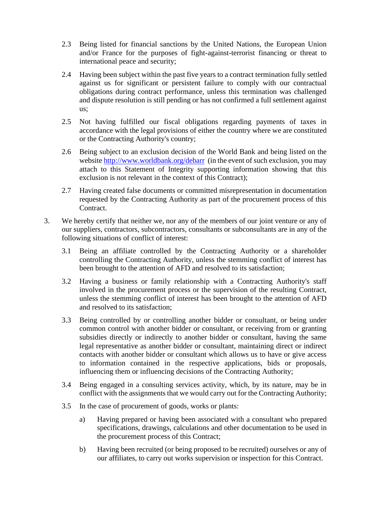- 2.3 Being listed for financial sanctions by the United Nations, the European Union and/or France for the purposes of fight-against-terrorist financing or threat to international peace and security;
- 2.4 Having been subject within the past five years to a contract termination fully settled against us for significant or persistent failure to comply with our contractual obligations during contract performance, unless this termination was challenged and dispute resolution is still pending or has not confirmed a full settlement against us;
- 2.5 Not having fulfilled our fiscal obligations regarding payments of taxes in accordance with the legal provisions of either the country where we are constituted or the Contracting Authority's country;
- 2.6 Being subject to an exclusion decision of the World Bank and being listed on the websit[e http://www.worldbank.org/debarr](http://www.worldbank.org/debarr) (in the event of such exclusion, you may attach to this Statement of Integrity supporting information showing that this exclusion is not relevant in the context of this Contract);
- 2.7 Having created false documents or committed misrepresentation in documentation requested by the Contracting Authority as part of the procurement process of this Contract.
- 3. We hereby certify that neither we, nor any of the members of our joint venture or any of our suppliers, contractors, subcontractors, consultants or subconsultants are in any of the following situations of conflict of interest:
	- 3.1 Being an affiliate controlled by the Contracting Authority or a shareholder controlling the Contracting Authority, unless the stemming conflict of interest has been brought to the attention of AFD and resolved to its satisfaction;
	- 3.2 Having a business or family relationship with a Contracting Authority's staff involved in the procurement process or the supervision of the resulting Contract, unless the stemming conflict of interest has been brought to the attention of AFD and resolved to its satisfaction;
	- 3.3 Being controlled by or controlling another bidder or consultant, or being under common control with another bidder or consultant, or receiving from or granting subsidies directly or indirectly to another bidder or consultant, having the same legal representative as another bidder or consultant, maintaining direct or indirect contacts with another bidder or consultant which allows us to have or give access to information contained in the respective applications, bids or proposals, influencing them or influencing decisions of the Contracting Authority;
	- 3.4 Being engaged in a consulting services activity, which, by its nature, may be in conflict with the assignments that we would carry out for the Contracting Authority;
	- 3.5 In the case of procurement of goods, works or plants:
		- a) Having prepared or having been associated with a consultant who prepared specifications, drawings, calculations and other documentation to be used in the procurement process of this Contract;
		- b) Having been recruited (or being proposed to be recruited) ourselves or any of our affiliates, to carry out works supervision or inspection for this Contract.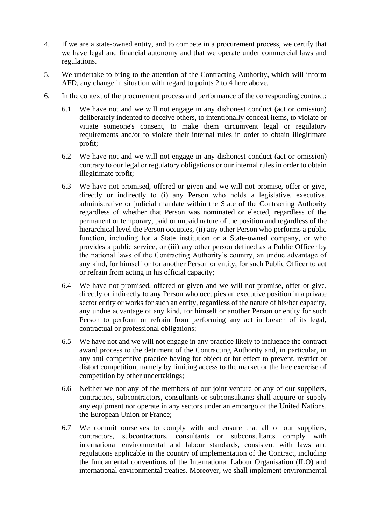- 4. If we are a state-owned entity, and to compete in a procurement process, we certify that we have legal and financial autonomy and that we operate under commercial laws and regulations.
- 5. We undertake to bring to the attention of the Contracting Authority, which will inform AFD, any change in situation with regard to points 2 to 4 here above.
- 6. In the context of the procurement process and performance of the corresponding contract:
	- 6.1 We have not and we will not engage in any dishonest conduct (act or omission) deliberately indented to deceive others, to intentionally conceal items, to violate or vitiate someone's consent, to make them circumvent legal or regulatory requirements and/or to violate their internal rules in order to obtain illegitimate profit;
	- 6.2 We have not and we will not engage in any dishonest conduct (act or omission) contrary to our legal or regulatory obligations or our internal rules in order to obtain illegitimate profit;
	- 6.3 We have not promised, offered or given and we will not promise, offer or give, directly or indirectly to (i) any Person who holds a legislative, executive, administrative or judicial mandate within the State of the Contracting Authority regardless of whether that Person was nominated or elected, regardless of the permanent or temporary, paid or unpaid nature of the position and regardless of the hierarchical level the Person occupies, (ii) any other Person who performs a public function, including for a State institution or a State-owned company, or who provides a public service, or (iii) any other person defined as a Public Officer by the national laws of the Contracting Authority's country, an undue advantage of any kind, for himself or for another Person or entity, for such Public Officer to act or refrain from acting in his official capacity;
	- 6.4 We have not promised, offered or given and we will not promise, offer or give, directly or indirectly to any Person who occupies an executive position in a private sector entity or works for such an entity, regardless of the nature of his/her capacity, any undue advantage of any kind, for himself or another Person or entity for such Person to perform or refrain from performing any act in breach of its legal, contractual or professional obligations;
	- 6.5 We have not and we will not engage in any practice likely to influence the contract award process to the detriment of the Contracting Authority and, in particular, in any anti-competitive practice having for object or for effect to prevent, restrict or distort competition, namely by limiting access to the market or the free exercise of competition by other undertakings;
	- 6.6 Neither we nor any of the members of our joint venture or any of our suppliers, contractors, subcontractors, consultants or subconsultants shall acquire or supply any equipment nor operate in any sectors under an embargo of the United Nations, the European Union or France;
	- 6.7 We commit ourselves to comply with and ensure that all of our suppliers, contractors, subcontractors, consultants or subconsultants comply with international environmental and labour standards, consistent with laws and regulations applicable in the country of implementation of the Contract, including the fundamental conventions of the International Labour Organisation (ILO) and international environmental treaties. Moreover, we shall implement environmental